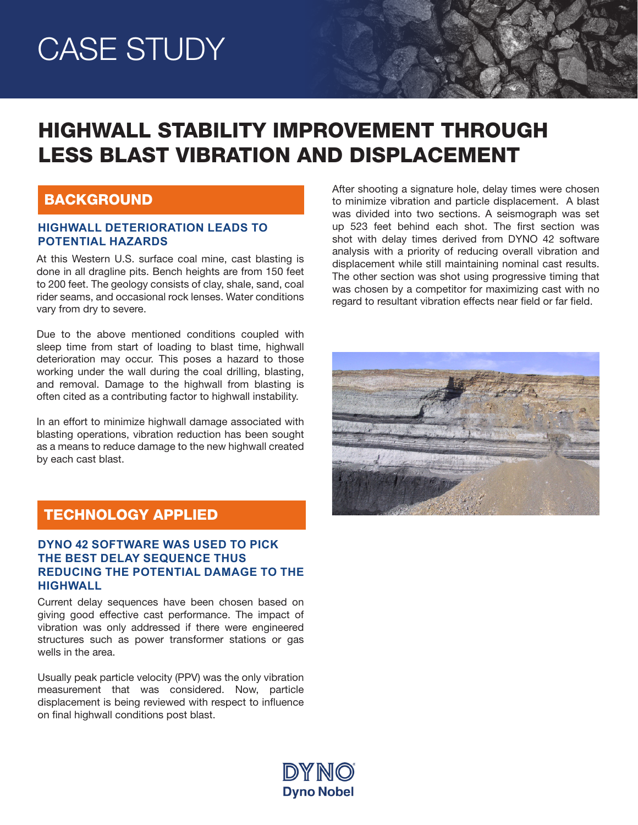# CASE STUDY

# HIGHWALL STABILITY IMPROVEMENT THROUGH LESS BLAST VIBRATION AND DISPLACEMENT

### **BACKGROUND**

#### **HIGHWALL DETERIORATION LEADS TO POTENTIAL HAZARDS**

At this Western U.S. surface coal mine, cast blasting is done in all dragline pits. Bench heights are from 150 feet to 200 feet. The geology consists of clay, shale, sand, coal rider seams, and occasional rock lenses. Water conditions vary from dry to severe.

Due to the above mentioned conditions coupled with sleep time from start of loading to blast time, highwall deterioration may occur. This poses a hazard to those working under the wall during the coal drilling, blasting, and removal. Damage to the highwall from blasting is often cited as a contributing factor to highwall instability.

In an effort to minimize highwall damage associated with blasting operations, vibration reduction has been sought as a means to reduce damage to the new highwall created by each cast blast.

After shooting a signature hole, delay times were chosen to minimize vibration and particle displacement. A blast was divided into two sections. A seismograph was set up 523 feet behind each shot. The first section was shot with delay times derived from DYNO 42 software analysis with a priority of reducing overall vibration and displacement while still maintaining nominal cast results. The other section was shot using progressive timing that was chosen by a competitor for maximizing cast with no regard to resultant vibration effects near field or far field.



# TECHNOLOGY APPLIED

### **DYNO 42 SOFTWARE WAS USED TO PICK THE BEST DELAY SEQUENCE THUS REDUCING THE POTENTIAL DAMAGE TO THE HIGHWALL**

Current delay sequences have been chosen based on giving good effective cast performance. The impact of vibration was only addressed if there were engineered structures such as power transformer stations or gas wells in the area.

Usually peak particle velocity (PPV) was the only vibration measurement that was considered. Now, particle displacement is being reviewed with respect to influence on final highwall conditions post blast.